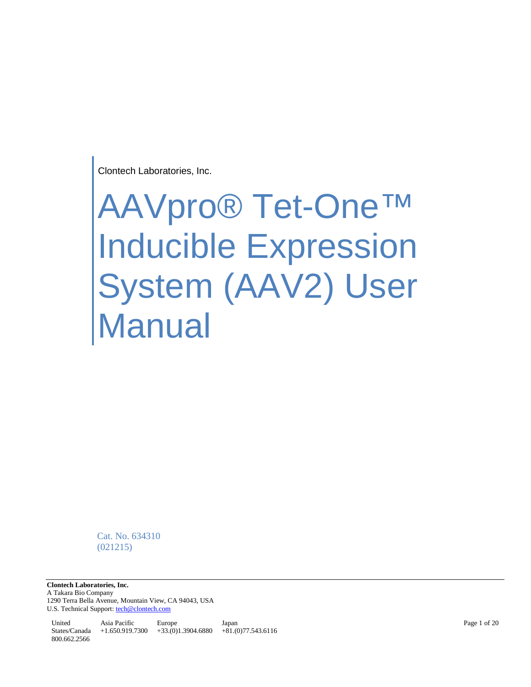Clontech Laboratories, Inc.

# AAVpro® Tet-One™ Inducible Expression System (AAV2) User Manual

Cat. No. 634310 (021215)

**Clontech Laboratories, Inc.**  A Takara Bio Company 1290 Terra Bella Avenue, Mountain View, CA 94043, USA U.S. Technical Support[: tech@clontech.com](mailto:tech@clontech.com)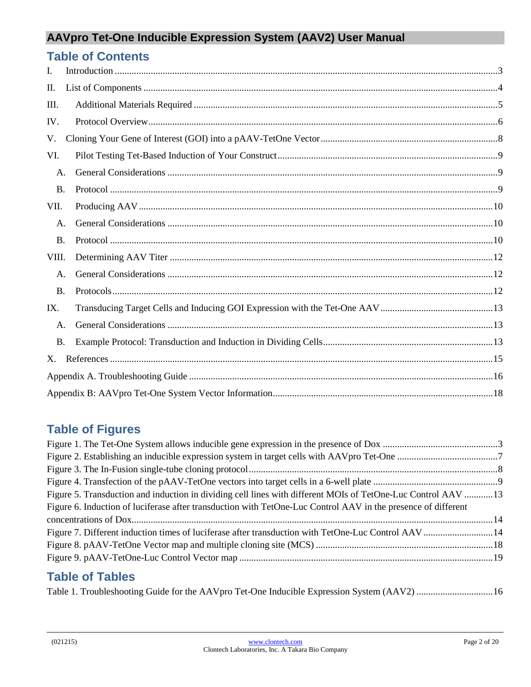| <b>Table of Contents</b> |  |
|--------------------------|--|
| I.                       |  |
| Π.                       |  |
| Ш.                       |  |
| IV.                      |  |
| V.                       |  |
| VI.                      |  |
| A.                       |  |
| <b>B.</b>                |  |
| VII.                     |  |
| А.                       |  |
| $\mathbf{B}$ .           |  |
| VIII.                    |  |
| A.                       |  |
| <b>B.</b>                |  |
| IX.                      |  |
| A.                       |  |
| <b>B.</b>                |  |
| X.                       |  |
|                          |  |
|                          |  |

## **Table of Figures**

| Figure 5. Transduction and induction in dividing cell lines with different MOIs of TetOne-Luc Control AAV 13  |  |
|---------------------------------------------------------------------------------------------------------------|--|
| Figure 6. Induction of luciferase after transduction with TetOne-Luc Control AAV in the presence of different |  |
|                                                                                                               |  |
|                                                                                                               |  |
|                                                                                                               |  |
|                                                                                                               |  |
|                                                                                                               |  |

## **Table of Tables**

<span id="page-1-0"></span>[Table 1. Troubleshooting Guide for the AAVpro Tet-One Inducible Expression System \(AAV2\)](#page-15-1) ................................16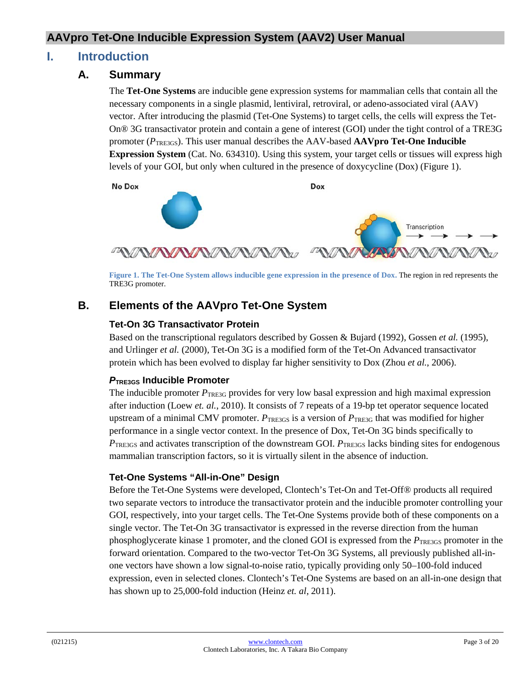## **I. Introduction**

#### **A. Summary**

The **Tet-One Systems** are inducible gene expression systems for mammalian cells that contain all the necessary components in a single plasmid, lentiviral, retroviral, or adeno-associated viral (AAV) vector. After introducing the plasmid (Tet-One Systems) to target cells, the cells will express the Tet-On® 3G transactivator protein and contain a gene of interest (GOI) under the tight control of a TRE3G promoter (*P*TRE3GS). This user manual describes the AAV-based **AAVpro Tet-One Inducible Expression System** (Cat. No. 634310). Using this system, your target cells or tissues will express high levels of your GOI, but only when cultured in the presence of doxycycline (Dox) (Figure 1).

No Dox



**Figure 1. The Tet-One System allows inducible gene expression in the presence of Dox.** The region in red represents the TRE3G promoter.

## <span id="page-2-0"></span>**B. Elements of the AAVpro Tet-One System**

#### **Tet-On 3G Transactivator Protein**

Based on the transcriptional regulators described by Gossen & Bujard (1992), Gossen *et al.* (1995), and Urlinger *et al.* (2000), Tet-On 3G is a modified form of the Tet-On Advanced transactivator protein which has been evolved to display far higher sensitivity to Dox (Zhou *et al.*, 2006).

#### *P***TRE3GS Inducible Promoter**

The inducible promoter  $P_{\text{TEEG}}$  provides for very low basal expression and high maximal expression after induction (Loew *et. al.*, 2010). It consists of 7 repeats of a 19-bp tet operator sequence located upstream of a minimal CMV promoter.  $P_{\text{TRE3GS}}$  is a version of  $P_{\text{TRE3G}}$  that was modified for higher performance in a single vector context. In the presence of Dox, Tet-On 3G binds specifically to *P*TRE3GS and activates transcription of the downstream GOI. *PTRE3GS* lacks binding sites for endogenous mammalian transcription factors, so it is virtually silent in the absence of induction.

#### **Tet-One Systems "All-in-One" Design**

Before the Tet-One Systems were developed, Clontech's Tet-On and Tet-Off® products all required two separate vectors to introduce the transactivator protein and the inducible promoter controlling your GOI, respectively, into your target cells. The Tet-One Systems provide both of these components on a single vector. The Tet-On 3G transactivator is expressed in the reverse direction from the human phosphoglycerate kinase 1 promoter, and the cloned GOI is expressed from the *P*<sub>TRE3GS</sub> promoter in the forward orientation. Compared to the two-vector Tet-On 3G Systems, all previously published all-inone vectors have shown a low signal-to-noise ratio, typically providing only 50–100-fold induced expression, even in selected clones. Clontech's Tet-One Systems are based on an all-in-one design that has shown up to 25,000-fold induction (Heinz *et. al*, 2011).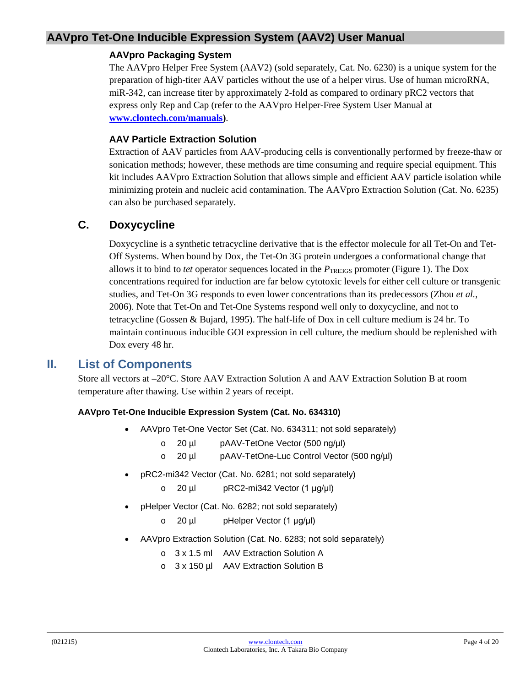#### **AAVpro Packaging System**

The AAVpro Helper Free System (AAV2) (sold separately, Cat. No. 6230) is a unique system for the preparation of high-titer AAV particles without the use of a helper virus. Use of human microRNA, miR-342, can increase titer by approximately 2-fold as compared to ordinary pRC2 vectors that express only Rep and Cap (refer to the AAVpro Helper-Free System User Manual at **[www.clontech.com/manuals\)](http://www.clontech.com/manuals)**.

#### **AAV Particle Extraction Solution**

Extraction of AAV particles from AAV-producing cells is conventionally performed by freeze-thaw or sonication methods; however, these methods are time consuming and require special equipment. This kit includes AAVpro Extraction Solution that allows simple and efficient AAV particle isolation while minimizing protein and nucleic acid contamination. The AAVpro Extraction Solution (Cat. No. 6235) can also be purchased separately.

#### **C. Doxycycline**

Doxycycline is a synthetic tetracycline derivative that is the effector molecule for all Tet-On and Tet-Off Systems. When bound by Dox, the Tet-On 3G protein undergoes a conformational change that allows it to bind to *tet* operator sequences located in the *P*<sub>TRE3GS</sub> promoter (Figure 1). The Dox concentrations required for induction are far below cytotoxic levels for either cell culture or transgenic studies, and Tet-On 3G responds to even lower concentrations than its predecessors (Zhou *et al.*, 2006). Note that Tet-On and Tet-One Systems respond well only to doxycycline, and not to tetracycline (Gossen & Bujard, 1995). The half-life of Dox in cell culture medium is 24 hr. To maintain continuous inducible GOI expression in cell culture, the medium should be replenished with Dox every 48 hr.

#### <span id="page-3-0"></span>**II. List of Components**

Store all vectors at –20°C. Store AAV Extraction Solution A and AAV Extraction Solution B at room temperature after thawing. Use within 2 years of receipt.

#### **AAVpro Tet-One Inducible Expression System (Cat. No. 634310)**

- AAVpro Tet-One Vector Set (Cat. No. 634311; not sold separately)
	- o 20 µl pAAV-TetOne Vector (500 ng/µl)
	- o 20 µl pAAV-TetOne-Luc Control Vector (500 ng/µl)
- pRC2-mi342 Vector (Cat. No. 6281; not sold separately)
	- o 20 µl pRC2-mi342 Vector (1 μg/μl)
- pHelper Vector (Cat. No. 6282; not sold separately)
	- o 20 µl pHelper Vector (1 μg/μl)
- AAVpro Extraction Solution (Cat. No. 6283; not sold separately)
	- o 3 x 1.5 ml AAV Extraction Solution A
	- o 3 x 150 µl AAV Extraction Solution B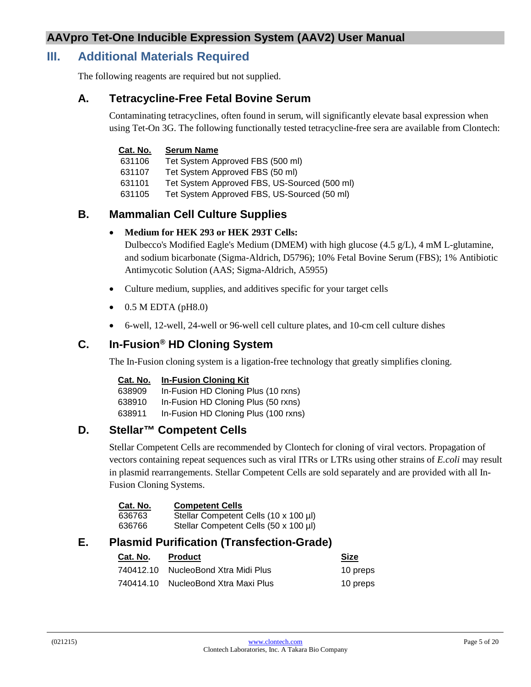## <span id="page-4-0"></span>**III. Additional Materials Required**

The following reagents are required but not supplied.

#### **A. Tetracycline-Free Fetal Bovine Serum**

Contaminating tetracyclines, often found in serum, will significantly elevate basal expression when using Tet-On 3G. The following functionally tested tetracycline-free sera are available from Clontech:

#### **Cat. No. Serum Name**

631106 Tet System Approved FBS (500 ml)

631107 Tet System Approved FBS (50 ml)

631101 Tet System Approved FBS, US-Sourced (500 ml)

631105 Tet System Approved FBS, US-Sourced (50 ml)

#### **B. Mammalian Cell Culture Supplies**

#### • **Medium for HEK 293 or HEK 293T Cells:**

Dulbecco's Modified Eagle's Medium (DMEM) with high glucose  $(4.5 \text{ g/L})$ , 4 mM L-glutamine, and sodium bicarbonate (Sigma-Aldrich, D5796); 10% Fetal Bovine Serum (FBS); 1% Antibiotic Antimycotic Solution (AAS; Sigma-Aldrich, A5955)

- Culture medium, supplies, and additives specific for your target cells
- $\bullet$  0.5 M EDTA (pH8.0)
- 6-well, 12-well, 24-well or 96-well cell culture plates, and 10-cm cell culture dishes

#### **C. In-Fusion® HD Cloning System**

The In-Fusion cloning system is a ligation-free technology that greatly simplifies cloning.

#### **Cat. No. In-Fusion Cloning Kit**

| 638909 | In-Fusion HD Cloning Plus (10 rxns)  |
|--------|--------------------------------------|
| 638910 | In-Fusion HD Cloning Plus (50 rxns)  |
| 638911 | In-Fusion HD Cloning Plus (100 rxns) |

#### **D. Stellar™ Competent Cells**

Stellar Competent Cells are recommended by Clontech for cloning of viral vectors. Propagation of vectors containing repeat sequences such as viral ITRs or LTRs using other strains of *E.coli* may result in plasmid rearrangements. Stellar Competent Cells are sold separately and are provided with all In-Fusion Cloning Systems.

| Cat. No. | <b>Competent Cells</b>                |
|----------|---------------------------------------|
| 636763   | Stellar Competent Cells (10 x 100 µl) |
| 636766   | Stellar Competent Cells (50 x 100 µl) |

## **E. Plasmid Purification (Transfection-Grade)**

| Cat. No. | <b>Product</b>                      | <b>Size</b> |
|----------|-------------------------------------|-------------|
|          | 740412.10 NucleoBond Xtra Midi Plus | 10 preps    |
|          | 740414.10 NucleoBond Xtra Maxi Plus | 10 preps    |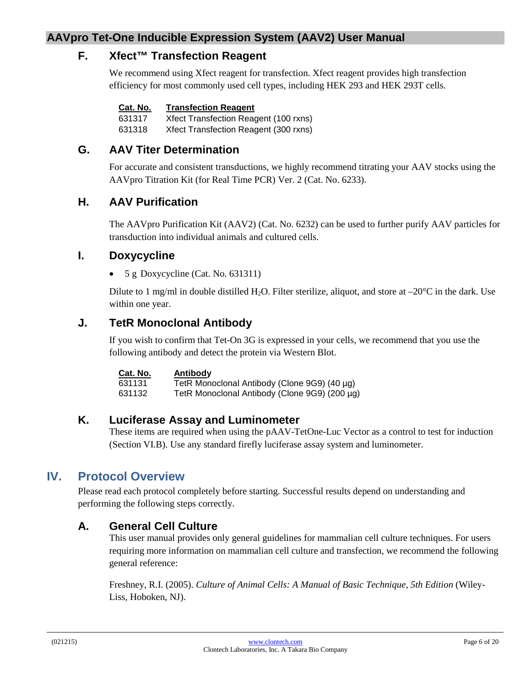## **F. Xfect™ Transfection Reagent**

We recommend using Xfect reagent for transfection. Xfect reagent provides high transfection efficiency for most commonly used cell types, including HEK 293 and HEK 293T cells.

| Cat. No. | <b>Transfection Reagent</b> |  |
|----------|-----------------------------|--|
|----------|-----------------------------|--|

631317 Xfect Transfection Reagent (100 rxns) 631318 Xfect Transfection Reagent (300 rxns)

## **G. AAV Titer Determination**

For accurate and consistent transductions, we highly recommend titrating your AAV stocks using the AAVpro Titration Kit (for Real Time PCR) Ver. 2 (Cat. No. 6233).

## **H. AAV Purification**

The AAVpro Purification Kit (AAV2) (Cat. No. 6232) can be used to further purify AAV particles for transduction into individual animals and cultured cells.

#### **I. Doxycycline**

• 5 g Doxycycline (Cat. No. 631311)

Dilute to 1 mg/ml in double distilled H<sub>2</sub>O. Filter sterilize, aliquot, and store at  $-20^{\circ}$ C in the dark. Use within one year.

## **J. TetR Monoclonal Antibody**

If you wish to confirm that Tet-On 3G is expressed in your cells, we recommend that you use the following antibody and detect the protein via Western Blot.

| Cat. No. | Antibody                                      |
|----------|-----------------------------------------------|
| 631131   | TetR Monoclonal Antibody (Clone 9G9) (40 µg)  |
| 631132   | TetR Monoclonal Antibody (Clone 9G9) (200 µg) |

#### **K. Luciferase Assay and Luminometer**

These items are required when using the pAAV-TetOne-Luc Vector as a control to test for induction (Section VI.B). Use any standard firefly luciferase assay system and luminometer.

## <span id="page-5-0"></span>**IV. Protocol Overview**

Please read each protocol completely before starting. Successful results depend on understanding and performing the following steps correctly.

## **A. General Cell Culture**

This user manual provides only general guidelines for mammalian cell culture techniques. For users requiring more information on mammalian cell culture and transfection, we recommend the following general reference:

Freshney, R.I. (2005). *Culture of Animal Cells: A Manual of Basic Technique, 5th Edition* (Wiley-Liss, Hoboken, NJ).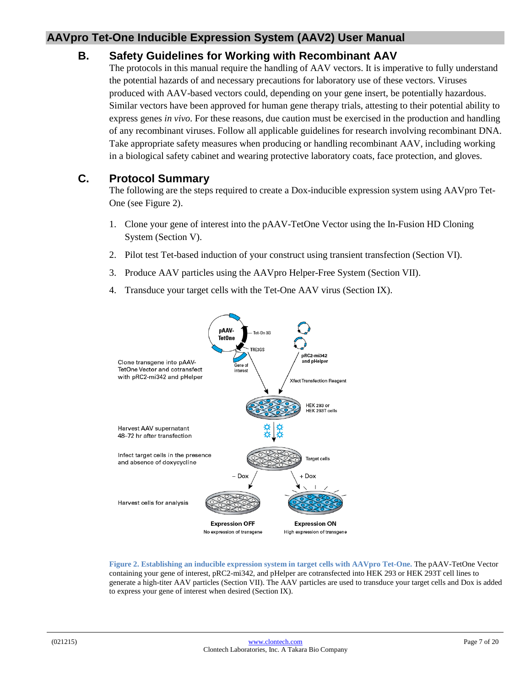#### **B. Safety Guidelines for Working with Recombinant AAV**

The protocols in this manual require the handling of AAV vectors. It is imperative to fully understand the potential hazards of and necessary precautions for laboratory use of these vectors. Viruses produced with AAV-based vectors could, depending on your gene insert, be potentially hazardous. Similar vectors have been approved for human gene therapy trials, attesting to their potential ability to express genes *in vivo*. For these reasons, due caution must be exercised in the production and handling of any recombinant viruses. Follow all applicable guidelines for research involving recombinant DNA. Take appropriate safety measures when producing or handling recombinant AAV, including working in a biological safety cabinet and wearing protective laboratory coats, face protection, and gloves.

## **C. Protocol Summary**

The following are the steps required to create a Dox-inducible expression system using AAVpro Tet-One (see Figure 2).

- 1. Clone your gene of interest into the pAAV-TetOne Vector using the In-Fusion HD Cloning System (Section V).
- 2. Pilot test Tet-based induction of your construct using transient transfection (Section VI).
- 3. Produce AAV particles using the AAVpro Helper-Free System (Section VII).
- 4. Transduce your target cells with the Tet-One AAV virus (Section IX).



<span id="page-6-0"></span>**Figure 2. Establishing an inducible expression system in target cells with AAVpro Tet-One.** The pAAV-TetOne Vector containing your gene of interest, pRC2-mi342, and pHelper are cotransfected into HEK 293 or HEK 293T cell lines to generate a high-titer AAV particles (Section VII). The AAV particles are used to transduce your target cells and Dox is added to express your gene of interest when desired (Section IX).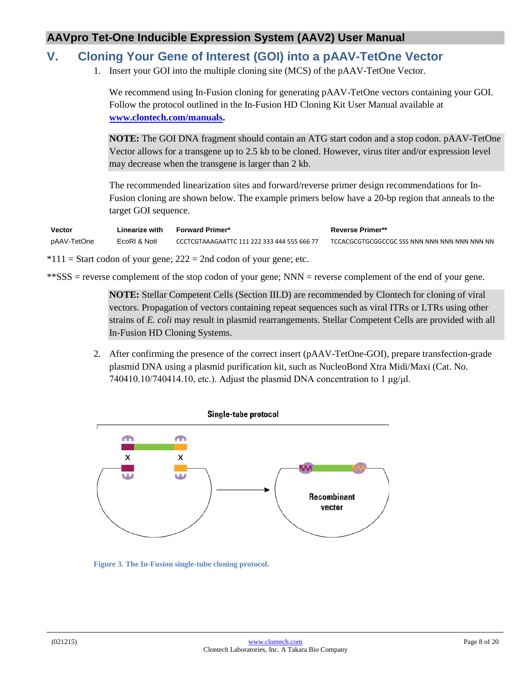## <span id="page-7-0"></span>**V. Cloning Your Gene of Interest (GOI) into a pAAV-TetOne Vector**

1. Insert your GOI into the multiple cloning site (MCS) of the pAAV-TetOne Vector.

We recommend using In-Fusion cloning for generating pAAV-TetOne vectors containing your GOI. Follow the protocol outlined in the In-Fusion HD Cloning Kit User Manual available at **[www.clontech.com/manuals.](http://www.clontech.com/manuals)**

**NOTE:** The GOI DNA fragment should contain an ATG start codon and a stop codon. pAAV-TetOne Vector allows for a transgene up to 2.5 kb to be cloned. However, virus titer and/or expression level may decrease when the transgene is larger than 2 kb.

The recommended linearization sites and forward/reverse primer design recommendations for In-Fusion cloning are shown below. The example primers below have a 20-bp region that anneals to the target GOI sequence.

| Vector      | Linearize with | <b>Forward Primer*</b>                      | <b>Reverse Primer**</b>                      |
|-------------|----------------|---------------------------------------------|----------------------------------------------|
| pAAV-TetOne | EcoRI & Notl   | CCCTCGTAAAGAATTC 111 222 333 444 555 666 77 | TCCACGCGTGCGGCCGC SSS NNN NNN NNN NNN NNN NN |

 $*111 =$  Start codon of your gene; 222 = 2nd codon of your gene; etc.

\*\*SSS = reverse complement of the stop codon of your gene; NNN = reverse complement of the end of your gene.

**NOTE:** Stellar Competent Cells (Section III.D) are recommended by Clontech for cloning of viral vectors. Propagation of vectors containing repeat sequences such as viral ITRs or LTRs using other strains of *E. coli* may result in plasmid rearrangements. Stellar Competent Cells are provided with all In-Fusion HD Cloning Systems.

2. After confirming the presence of the correct insert (pAAV-TetOne-GOI), prepare transfection-grade plasmid DNA using a plasmid purification kit, such as NucleoBond Xtra Midi/Maxi (Cat. No. 740410.10/740414.10, etc.). Adjust the plasmid DNA concentration to 1  $\mu$ g/ $\mu$ l.



<span id="page-7-1"></span>**Figure 3. The In-Fusion single-tube cloning protocol.**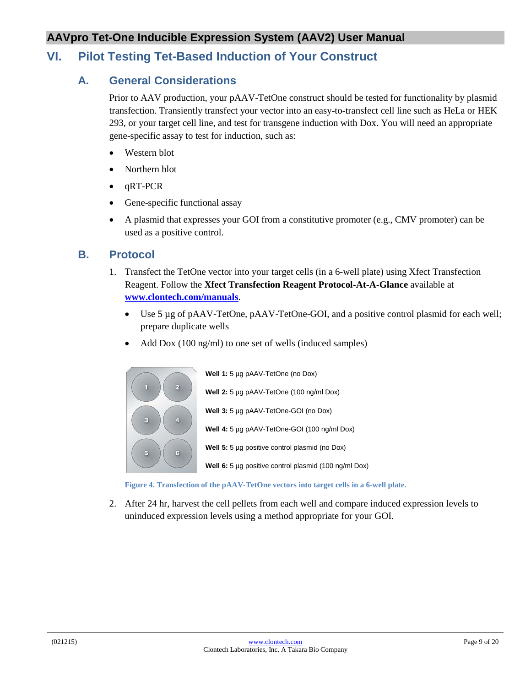## <span id="page-8-1"></span><span id="page-8-0"></span>**VI. Pilot Testing Tet-Based Induction of Your Construct**

#### **A. General Considerations**

Prior to AAV production, your pAAV-TetOne construct should be tested for functionality by plasmid transfection. Transiently transfect your vector into an easy-to-transfect cell line such as HeLa or HEK 293, or your target cell line, and test for transgene induction with Dox. You will need an appropriate gene-specific assay to test for induction, such as:

- Western blot
- Northern blot
- qRT-PCR
- Gene-specific functional assay
- A plasmid that expresses your GOI from a constitutive promoter (e.g., CMV promoter) can be used as a positive control.

#### <span id="page-8-2"></span>**B. Protocol**

- 1. Transfect the TetOne vector into your target cells (in a 6-well plate) using Xfect Transfection Reagent. Follow the **Xfect Transfection Reagent Protocol-At-A-Glance** available at **[www.clontech.com/manuals](http://www.clontech.com/manual)**.
	- Use 5 µg of pAAV-TetOne, pAAV-TetOne-GOI, and a positive control plasmid for each well; prepare duplicate wells
	- Add Dox (100 ng/ml) to one set of wells (induced samples)



**Figure 4. Transfection of the pAAV-TetOne vectors into target cells in a 6-well plate.**

<span id="page-8-3"></span>2. After 24 hr, harvest the cell pellets from each well and compare induced expression levels to uninduced expression levels using a method appropriate for your GOI.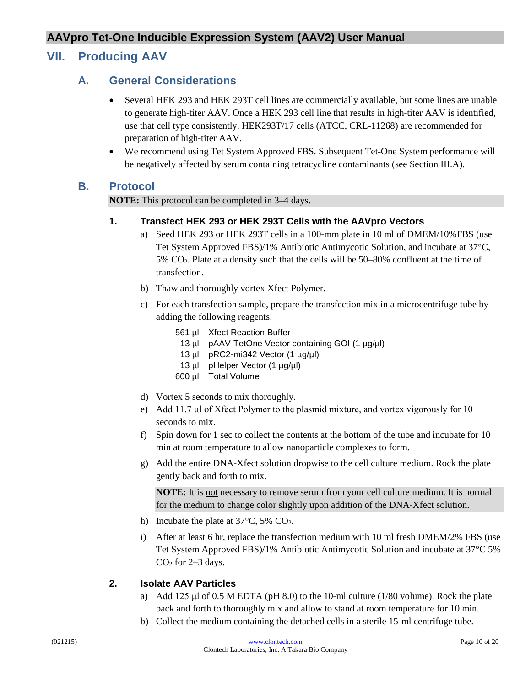## <span id="page-9-1"></span><span id="page-9-0"></span>**VII. Producing AAV**

#### **A. General Considerations**

- Several HEK 293 and HEK 293T cell lines are commercially available, but some lines are unable to generate high-titer AAV. Once a HEK 293 cell line that results in high-titer AAV is identified, use that cell type consistently. HEK293T/17 cells (ATCC, CRL-11268) are recommended for preparation of high-titer AAV.
- We recommend using Tet System Approved FBS. Subsequent Tet-One System performance will be negatively affected by serum containing tetracycline contaminants (see Section III.A).

#### <span id="page-9-2"></span>**B. Protocol**

**NOTE:** This protocol can be completed in 3–4 days.

#### **1. Transfect HEK 293 or HEK 293T Cells with the AAVpro Vectors**

- a) Seed HEK 293 or HEK 293T cells in a 100-mm plate in 10 ml of DMEM/10%FBS (use Tet System Approved FBS)/1% Antibiotic Antimycotic Solution, and incubate at 37°C, 5% CO2. Plate at a density such that the cells will be 50–80% confluent at the time of transfection.
- b) Thaw and thoroughly vortex Xfect Polymer.
- c) For each transfection sample, prepare the transfection mix in a microcentrifuge tube by adding the following reagents:
	- 561 µl Xfect Reaction Buffer
		- 13 µl pAAV-TetOne Vector containing GOI (1 µg/µl)
		- 13 µl pRC2-mi342 Vector  $(1 \mu g/\mu)$
	- 13 µl pHelper Vector (1 µg/µl)
	- 600 µl Total Volume
- d) Vortex 5 seconds to mix thoroughly.
- e) Add 11.7 μl of Xfect Polymer to the plasmid mixture, and vortex vigorously for 10 seconds to mix.
- f) Spin down for 1 sec to collect the contents at the bottom of the tube and incubate for 10 min at room temperature to allow nanoparticle complexes to form.
- g) Add the entire DNA-Xfect solution dropwise to the cell culture medium. Rock the plate gently back and forth to mix.

**NOTE:** It is not necessary to remove serum from your cell culture medium. It is normal for the medium to change color slightly upon addition of the DNA-Xfect solution.

- h) Incubate the plate at  $37^{\circ}$ C, 5% CO<sub>2</sub>.
- i) After at least 6 hr, replace the transfection medium with 10 ml fresh DMEM/2% FBS (use Tet System Approved FBS)/1% Antibiotic Antimycotic Solution and incubate at 37°C 5%  $CO<sub>2</sub>$  for 2–3 days.

#### **2. Isolate AAV Particles**

- a) Add 125 μl of 0.5 M EDTA (pH 8.0) to the 10-ml culture (1/80 volume). Rock the plate back and forth to thoroughly mix and allow to stand at room temperature for 10 min.
- b) Collect the medium containing the detached cells in a sterile 15-ml centrifuge tube.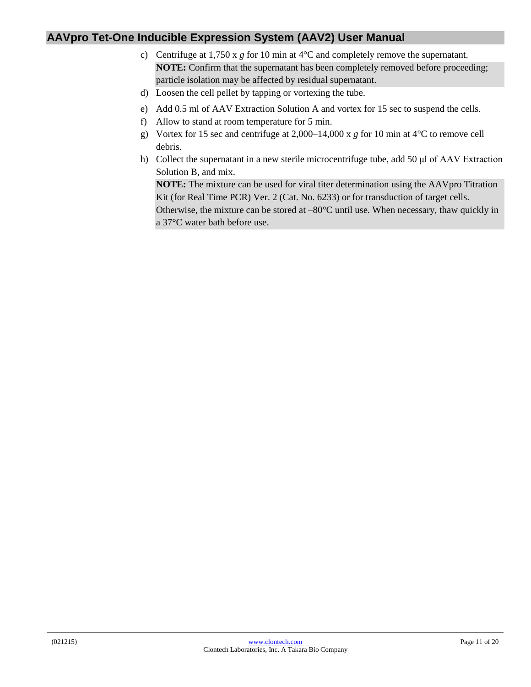- c) Centrifuge at 1,750 x *g* for 10 min at 4°C and completely remove the supernatant. **NOTE:** Confirm that the supernatant has been completely removed before proceeding; particle isolation may be affected by residual supernatant.
- d) Loosen the cell pellet by tapping or vortexing the tube.
- e) Add 0.5 ml of AAV Extraction Solution A and vortex for 15 sec to suspend the cells.
- f) Allow to stand at room temperature for 5 min.
- g) Vortex for 15 sec and centrifuge at 2,000–14,000 x *g* for 10 min at 4°C to remove cell debris.
- h) Collect the supernatant in a new sterile microcentrifuge tube, add 50 μl of AAV Extraction Solution B, and mix.

**NOTE:** The mixture can be used for viral titer determination using the AAVpro Titration Kit (for Real Time PCR) Ver. 2 (Cat. No. 6233) or for transduction of target cells. Otherwise, the mixture can be stored at –80°C until use. When necessary, thaw quickly in a 37°C water bath before use.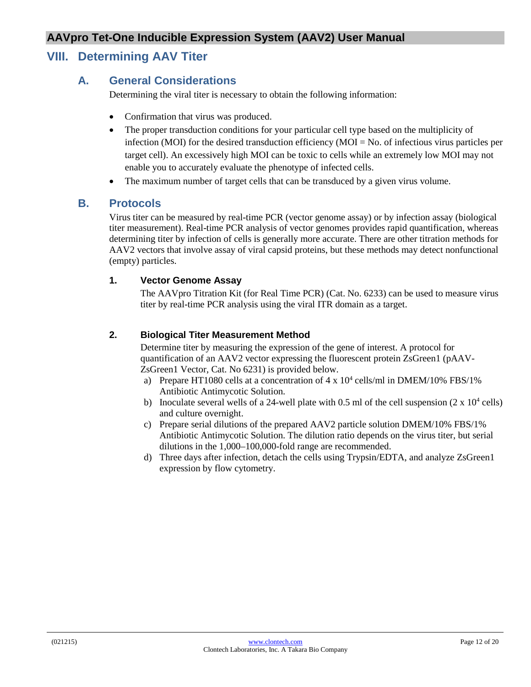## <span id="page-11-1"></span><span id="page-11-0"></span>**VIII. Determining AAV Titer**

#### **A. General Considerations**

Determining the viral titer is necessary to obtain the following information:

- Confirmation that virus was produced.
- The proper transduction conditions for your particular cell type based on the multiplicity of infection (MOI) for the desired transduction efficiency (MOI = No. of infectious virus particles per target cell). An excessively high MOI can be toxic to cells while an extremely low MOI may not enable you to accurately evaluate the phenotype of infected cells.
- The maximum number of target cells that can be transduced by a given virus volume.

#### <span id="page-11-2"></span>**B. Protocols**

Virus titer can be measured by real-time PCR (vector genome assay) or by infection assay (biological titer measurement). Real-time PCR analysis of vector genomes provides rapid quantification, whereas determining titer by infection of cells is generally more accurate. There are other titration methods for AAV2 vectors that involve assay of viral capsid proteins, but these methods may detect nonfunctional (empty) particles.

#### **1. Vector Genome Assay**

The AAVpro Titration Kit (for Real Time PCR) (Cat. No. 6233) can be used to measure virus titer by real-time PCR analysis using the viral ITR domain as a target.

#### **2. Biological Titer Measurement Method**

Determine titer by measuring the expression of the gene of interest. A protocol for quantification of an AAV2 vector expressing the fluorescent protein ZsGreen1 (pAAV-ZsGreen1 Vector, Cat. No 6231) is provided below.

- a) Prepare HT1080 cells at a concentration of  $4 \times 10^4$  cells/ml in DMEM/10% FBS/1% Antibiotic Antimycotic Solution.
- b) Inoculate several wells of a 24-well plate with 0.5 ml of the cell suspension  $(2 \times 10^4 \text{ cells})$ and culture overnight.
- c) Prepare serial dilutions of the prepared AAV2 particle solution DMEM/10% FBS/1% Antibiotic Antimycotic Solution. The dilution ratio depends on the virus titer, but serial dilutions in the 1,000–100,000-fold range are recommended.
- d) Three days after infection, detach the cells using Trypsin/EDTA, and analyze ZsGreen1 expression by flow cytometry.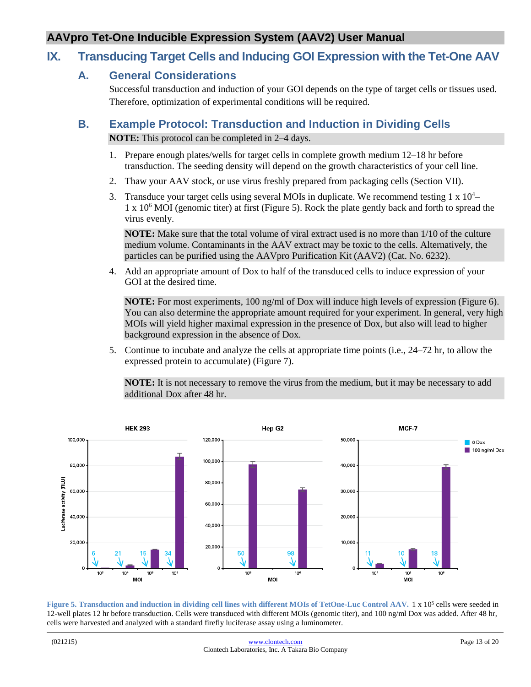## <span id="page-12-1"></span><span id="page-12-0"></span>**IX. Transducing Target Cells and Inducing GOI Expression with the Tet-One AAV**

#### **A. General Considerations**

Successful transduction and induction of your GOI depends on the type of target cells or tissues used. Therefore, optimization of experimental conditions will be required.

## <span id="page-12-2"></span>**B. Example Protocol: Transduction and Induction in Dividing Cells**

**NOTE:** This protocol can be completed in 2–4 days.

- 1. Prepare enough plates/wells for target cells in complete growth medium 12–18 hr before transduction. The seeding density will depend on the growth characteristics of your cell line.
- 2. Thaw your AAV stock, or use virus freshly prepared from packaging cells (Section VII).
- 3. Transduce your target cells using several MOIs in duplicate. We recommend testing  $1 \times 10^4$ -1 x 106 MOI (genomic titer) at first (Figure 5). Rock the plate gently back and forth to spread the virus evenly.

**NOTE:** Make sure that the total volume of viral extract used is no more than 1/10 of the culture medium volume. Contaminants in the AAV extract may be toxic to the cells. Alternatively, the particles can be purified using the AAVpro Purification Kit (AAV2) (Cat. No. 6232).

4. Add an appropriate amount of Dox to half of the transduced cells to induce expression of your GOI at the desired time.

**NOTE:** For most experiments, 100 ng/ml of Dox will induce high levels of expression (Figure 6). You can also determine the appropriate amount required for your experiment. In general, very high MOIs will yield higher maximal expression in the presence of Dox, but also will lead to higher background expression in the absence of Dox.

5. Continue to incubate and analyze the cells at appropriate time points (i.e., 24–72 hr, to allow the expressed protein to accumulate) (Figure 7).

<span id="page-12-3"></span>**NOTE:** It is not necessary to remove the virus from the medium, but it may be necessary to add additional Dox after 48 hr.



**Figure 5. Transduction and induction in dividing cell lines with different MOIs of TetOne-Luc Control AAV.** 1 x 105 cells were seeded in 12-well plates 12 hr before transduction. Cells were transduced with different MOIs (genomic titer), and 100 ng/ml Dox was added. After 48 hr, cells were harvested and analyzed with a standard firefly luciferase assay using a luminometer.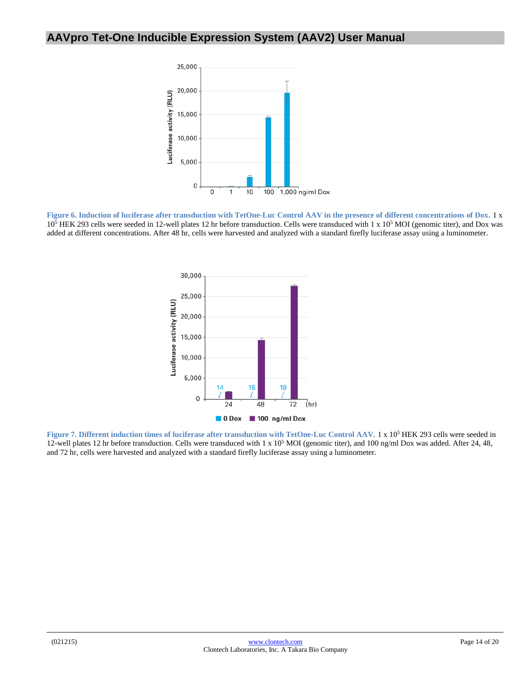

<span id="page-13-0"></span>**Figure 6. Induction of luciferase after transduction with TetOne-Luc Control AAV in the presence of different concentrations of Dox.** 1 x 10<sup>5</sup> HEK 293 cells were seeded in 12-well plates 12 hr before transduction. Cells were transduced with 1 x 10<sup>5</sup> MOI (genomic titer), and Dox was added at different concentrations. After 48 hr, cells were harvested and analyzed with a standard firefly luciferase assay using a luminometer.



<span id="page-13-1"></span>**Figure 7. Different induction times of luciferase after transduction with TetOne-Luc Control AAV.** 1 x 105 HEK 293 cells were seeded in 12-well plates 12 hr before transduction. Cells were transduced with 1 x  $10<sup>5</sup>$  MOI (genomic titer), and 100 ng/ml Dox was added. After 24, 48, and 72 hr, cells were harvested and analyzed with a standard firefly luciferase assay using a luminometer.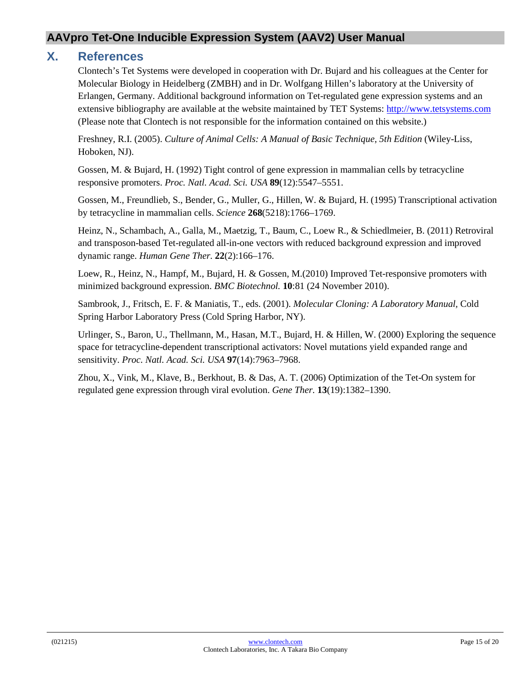#### <span id="page-14-0"></span>**X. References**

Clontech's Tet Systems were developed in cooperation with Dr. Bujard and his colleagues at the Center for Molecular Biology in Heidelberg (ZMBH) and in Dr. Wolfgang Hillen's laboratory at the University of Erlangen, Germany. Additional background information on Tet-regulated gene expression systems and an extensive bibliography are available at the website maintained by TET Systems: [http://www.tetsystems.com](http://www.tetsystems.com/) (Please note that Clontech is not responsible for the information contained on this website.)

Freshney, R.I. (2005). *Culture of Animal Cells: A Manual of Basic Technique, 5th Edition* (Wiley-Liss, Hoboken, NJ).

Gossen, M. & Bujard, H. (1992) Tight control of gene expression in mammalian cells by tetracycline responsive promoters. *Proc. Natl. Acad. Sci. USA* **89**(12):5547–5551.

Gossen, M., Freundlieb, S., Bender, G., Muller, G., Hillen, W. & Bujard, H. (1995) Transcriptional activation by tetracycline in mammalian cells. *Science* **268**(5218):1766–1769.

Heinz, N., Schambach, A., Galla, M., Maetzig, T., Baum, C., Loew R., & Schiedlmeier, B. (2011) Retroviral and transposon-based Tet-regulated all-in-one vectors with reduced background expression and improved dynamic range. *Human Gene Ther.* **22**(2):166–176.

Loew, R., Heinz, N., Hampf, M., Bujard, H. & Gossen, M.(2010) Improved Tet-responsive promoters with minimized background expression. *BMC Biotechnol.* **10**:81 (24 November 2010).

Sambrook, J., Fritsch, E. F. & Maniatis, T., eds. (2001). *Molecular Cloning: A Laboratory Manual,* Cold Spring Harbor Laboratory Press (Cold Spring Harbor, NY).

Urlinger, S., Baron, U., Thellmann, M., Hasan, M.T., Bujard, H. & Hillen, W. (2000) Exploring the sequence space for tetracycline-dependent transcriptional activators: Novel mutations yield expanded range and sensitivity. *Proc. Natl. Acad. Sci. USA* **97**(14):7963–7968.

Zhou, X., Vink, M., Klave, B., Berkhout, B. & Das, A. T. (2006) Optimization of the Tet-On system for regulated gene expression through viral evolution. *Gene Ther.* **13**(19):1382–1390.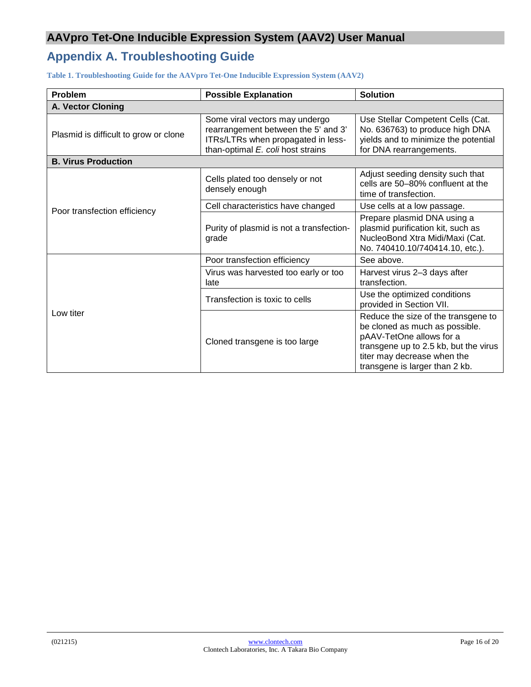# <span id="page-15-0"></span>**Appendix A. Troubleshooting Guide**

<span id="page-15-1"></span>**Table 1. Troubleshooting Guide for the AAVpro Tet-One Inducible Expression System (AAV2)**

| Problem                               | <b>Possible Explanation</b>                                                                                                                      | <b>Solution</b>                                                                                                                                                                                             |
|---------------------------------------|--------------------------------------------------------------------------------------------------------------------------------------------------|-------------------------------------------------------------------------------------------------------------------------------------------------------------------------------------------------------------|
| <b>A. Vector Cloning</b>              |                                                                                                                                                  |                                                                                                                                                                                                             |
| Plasmid is difficult to grow or clone | Some viral vectors may undergo<br>rearrangement between the 5' and 3'<br>ITRs/LTRs when propagated in less-<br>than-optimal E. coli host strains | Use Stellar Competent Cells (Cat.<br>No. 636763) to produce high DNA<br>yields and to minimize the potential<br>for DNA rearrangements.                                                                     |
| <b>B. Virus Production</b>            |                                                                                                                                                  |                                                                                                                                                                                                             |
|                                       | Cells plated too densely or not<br>densely enough                                                                                                | Adjust seeding density such that<br>cells are 50–80% confluent at the<br>time of transfection.                                                                                                              |
| Poor transfection efficiency          | Cell characteristics have changed                                                                                                                | Use cells at a low passage.                                                                                                                                                                                 |
|                                       | Purity of plasmid is not a transfection-<br>grade                                                                                                | Prepare plasmid DNA using a<br>plasmid purification kit, such as<br>NucleoBond Xtra Midi/Maxi (Cat.<br>No. 740410.10/740414.10, etc.).                                                                      |
|                                       | Poor transfection efficiency                                                                                                                     | See above.                                                                                                                                                                                                  |
| Low titer                             | Virus was harvested too early or too<br>late                                                                                                     | Harvest virus 2-3 days after<br>transfection.                                                                                                                                                               |
|                                       | Transfection is toxic to cells                                                                                                                   | Use the optimized conditions<br>provided in Section VII.                                                                                                                                                    |
|                                       | Cloned transgene is too large                                                                                                                    | Reduce the size of the transgene to<br>be cloned as much as possible.<br>pAAV-TetOne allows for a<br>transgene up to 2.5 kb, but the virus<br>titer may decrease when the<br>transgene is larger than 2 kb. |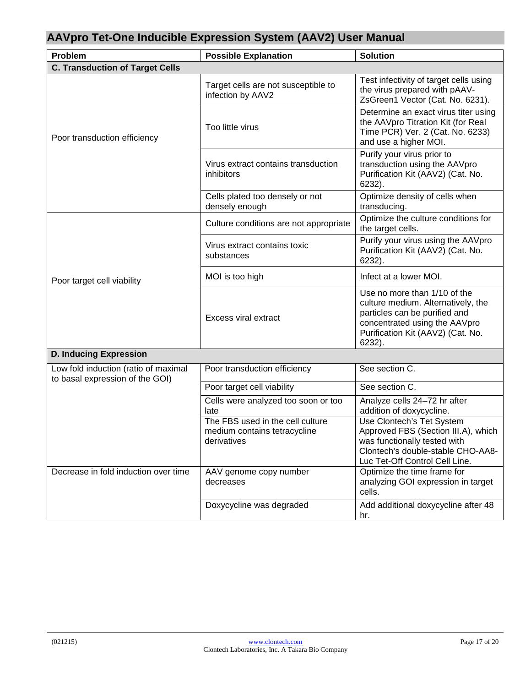| Problem                                                                 | <b>Possible Explanation</b>                                                     | <b>Solution</b>                                                                                                                                                                     |
|-------------------------------------------------------------------------|---------------------------------------------------------------------------------|-------------------------------------------------------------------------------------------------------------------------------------------------------------------------------------|
| <b>C. Transduction of Target Cells</b>                                  |                                                                                 |                                                                                                                                                                                     |
|                                                                         | Target cells are not susceptible to<br>infection by AAV2                        | Test infectivity of target cells using<br>the virus prepared with pAAV-<br>ZsGreen1 Vector (Cat. No. 6231).                                                                         |
| Poor transduction efficiency                                            | Too little virus                                                                | Determine an exact virus titer using<br>the AAVpro Titration Kit (for Real<br>Time PCR) Ver. 2 (Cat. No. 6233)<br>and use a higher MOI.                                             |
|                                                                         | Virus extract contains transduction<br>inhibitors                               | Purify your virus prior to<br>transduction using the AAVpro<br>Purification Kit (AAV2) (Cat. No.<br>6232).                                                                          |
|                                                                         | Cells plated too densely or not<br>densely enough                               | Optimize density of cells when<br>transducing.                                                                                                                                      |
|                                                                         | Culture conditions are not appropriate                                          | Optimize the culture conditions for<br>the target cells.                                                                                                                            |
|                                                                         | Virus extract contains toxic<br>substances                                      | Purify your virus using the AAVpro<br>Purification Kit (AAV2) (Cat. No.<br>6232).                                                                                                   |
| Poor target cell viability                                              | MOI is too high                                                                 | Infect at a lower MOI.                                                                                                                                                              |
|                                                                         | <b>Excess viral extract</b>                                                     | Use no more than 1/10 of the<br>culture medium. Alternatively, the<br>particles can be purified and<br>concentrated using the AAVpro<br>Purification Kit (AAV2) (Cat. No.<br>6232). |
| <b>D. Inducing Expression</b>                                           |                                                                                 |                                                                                                                                                                                     |
| Low fold induction (ratio of maximal<br>to basal expression of the GOI) | Poor transduction efficiency                                                    | See section C.                                                                                                                                                                      |
|                                                                         | Poor target cell viability                                                      | See section C.                                                                                                                                                                      |
|                                                                         | Cells were analyzed too soon or too<br>late                                     | Analyze cells 24-72 hr after<br>addition of doxycycline.                                                                                                                            |
|                                                                         | The FBS used in the cell culture<br>medium contains tetracycline<br>derivatives | Use Clontech's Tet System<br>Approved FBS (Section III.A), which<br>was functionally tested with<br>Clontech's double-stable CHO-AA8-<br>Luc Tet-Off Control Cell Line.             |
| Decrease in fold induction over time                                    | AAV genome copy number<br>decreases                                             | Optimize the time frame for<br>analyzing GOI expression in target<br>cells.                                                                                                         |
|                                                                         | Doxycycline was degraded                                                        | Add additional doxycycline after 48<br>hr.                                                                                                                                          |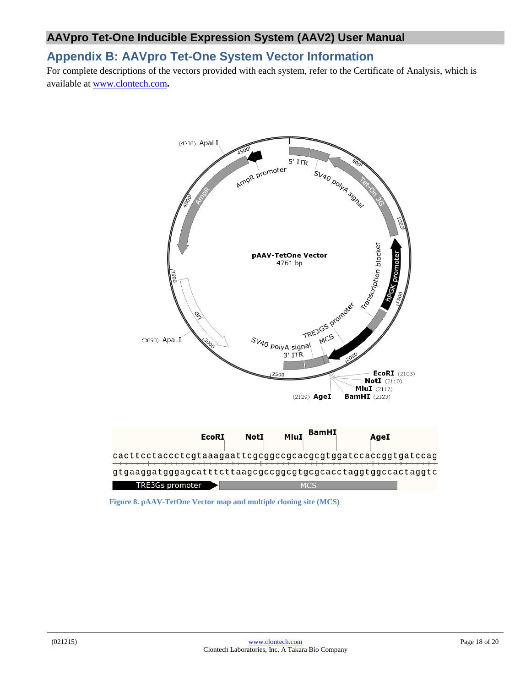## <span id="page-17-0"></span>**Appendix B: AAVpro Tet-One System Vector Information**

For complete descriptions of the vectors provided with each system, refer to the Certificate of Analysis, which is available at [www.clontech.com](http://www.clontech.com/)**.** 



<span id="page-17-1"></span>**Figure 8. pAAV-TetOne Vector map and multiple cloning site (MCS)**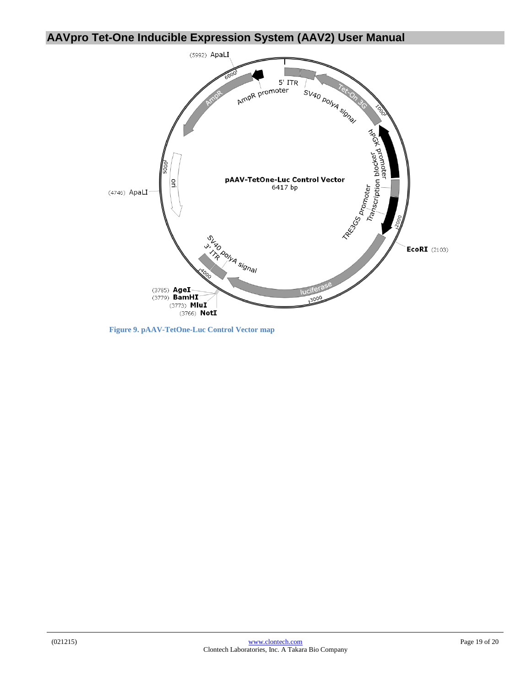

<span id="page-18-0"></span>**Figure 9. pAAV-TetOne-Luc Control Vector map**